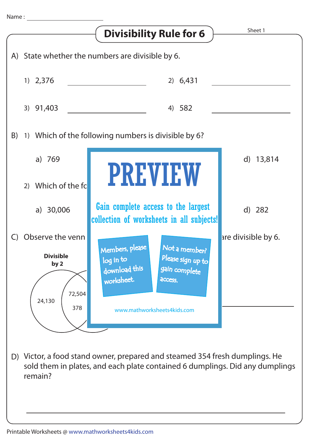